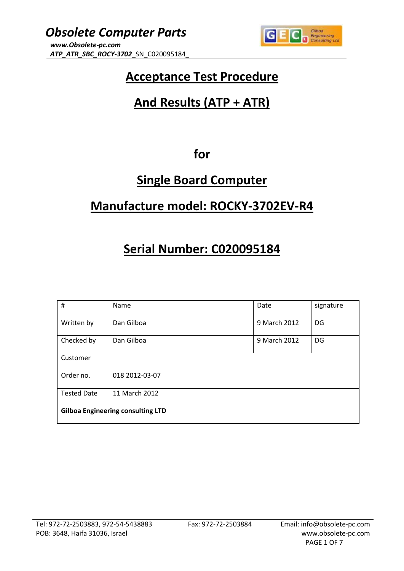

## **Acceptance Test Procedure**

## **And Results (ATP + ATR)**

### **for**

## **Single Board Computer**

### **Manufacture model: ROCKY-3702EV-R4**

# **Serial Number: C020095184**

| #                                        | Name           | Date         | signature |  |  |
|------------------------------------------|----------------|--------------|-----------|--|--|
| Written by                               | Dan Gilboa     | 9 March 2012 | DG        |  |  |
| Checked by                               | Dan Gilboa     | 9 March 2012 | DG        |  |  |
| Customer                                 |                |              |           |  |  |
| Order no.                                | 018 2012-03-07 |              |           |  |  |
| <b>Tested Date</b><br>11 March 2012      |                |              |           |  |  |
| <b>Gilboa Engineering consulting LTD</b> |                |              |           |  |  |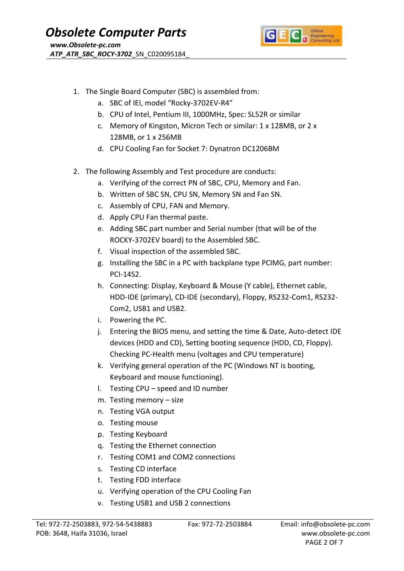

- 1. The Single Board Computer (SBC) is assembled from:
	- a. SBC of IEI, model "Rocky-3702EV-R4"
	- b. CPU of Intel, Pentium III, 1000MHz, Spec: SL52R or similar
	- c. Memory of Kingston, Micron Tech or similar: 1 x 128MB, or 2 x 128MB, or 1 x 256MB
	- d. CPU Cooling Fan for Socket 7: Dynatron DC1206BM
- 2. The following Assembly and Test procedure are conducts:
	- a. Verifying of the correct PN of SBC, CPU, Memory and Fan.
	- b. Written of SBC SN, CPU SN, Memory SN and Fan SN.
	- c. Assembly of CPU, FAN and Memory.
	- d. Apply CPU Fan thermal paste.
	- e. Adding SBC part number and Serial number (that will be of the ROCKY-3702EV board) to the Assembled SBC.
	- f. Visual inspection of the assembled SBC.
	- g. Installing the SBC in a PC with backplane type PCIMG, part number: PCI-14S2.
	- h. Connecting: Display, Keyboard & Mouse (Y cable), Ethernet cable, HDD-IDE (primary), CD-IDE (secondary), Floppy, RS232-Com1, RS232- Com2, USB1 and USB2.
	- i. Powering the PC.
	- j. Entering the BIOS menu, and setting the time & Date, Auto-detect IDE devices (HDD and CD), Setting booting sequence (HDD, CD, Floppy). Checking PC-Health menu (voltages and CPU temperature)
	- k. Verifying general operation of the PC (Windows NT is booting, Keyboard and mouse functioning).
	- l. Testing CPU speed and ID number
	- m. Testing memory size
	- n. Testing VGA output
	- o. Testing mouse
	- p. Testing Keyboard
	- q. Testing the Ethernet connection
	- r. Testing COM1 and COM2 connections
	- s. Testing CD interface
	- t. Testing FDD interface
	- u. Verifying operation of the CPU Cooling Fan
	- v. Testing USB1 and USB 2 connections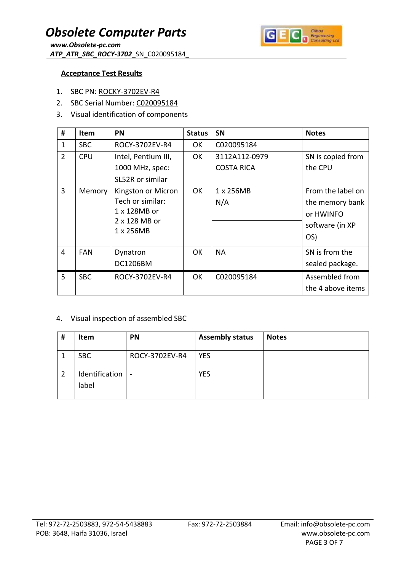

#### **Acceptance Test Results**

- 1. SBC PN: ROCKY-3702EV-R4
- 2. SBC Serial Number: C020095184
- 3. Visual identification of components

| #              | <b>Item</b> | PN                         | <b>Status</b> | <b>SN</b>         | <b>Notes</b>      |
|----------------|-------------|----------------------------|---------------|-------------------|-------------------|
| $\mathbf{1}$   | <b>SBC</b>  | ROCY-3702EV-R4             | 0K            | C020095184        |                   |
| $\overline{2}$ | <b>CPU</b>  | Intel, Pentium III,        | 0K            | 3112A112-0979     | SN is copied from |
|                |             | 1000 MHz, spec:            |               | <b>COSTA RICA</b> | the CPU           |
|                |             | SL52R or similar           |               |                   |                   |
| 3              | Memory      | Kingston or Micron         | 0K            | 1 x 256MB         | From the label on |
|                |             | Tech or similar:           |               | N/A               | the memory bank   |
|                |             | 1 x 128MB or               |               |                   | or HWINFO         |
|                |             | 2 x 128 MB or<br>1 x 256MB |               |                   | software (in XP   |
|                |             |                            |               |                   | OS)               |
| 4              | <b>FAN</b>  | Dynatron                   | OK.           | <b>NA</b>         | SN is from the    |
|                |             | DC1206BM                   |               |                   | sealed package.   |
| 5              | <b>SBC</b>  | ROCY-3702EV-R4             | <b>OK</b>     | C020095184        | Assembled from    |
|                |             |                            |               |                   | the 4 above items |

#### 4. Visual inspection of assembled SBC

| # | <b>Item</b>             | <b>PN</b>      | <b>Assembly status</b> | <b>Notes</b> |
|---|-------------------------|----------------|------------------------|--------------|
|   | <b>SBC</b>              | ROCY-3702EV-R4 | <b>YES</b>             |              |
|   | Identification<br>label | $\sim$         | <b>YES</b>             |              |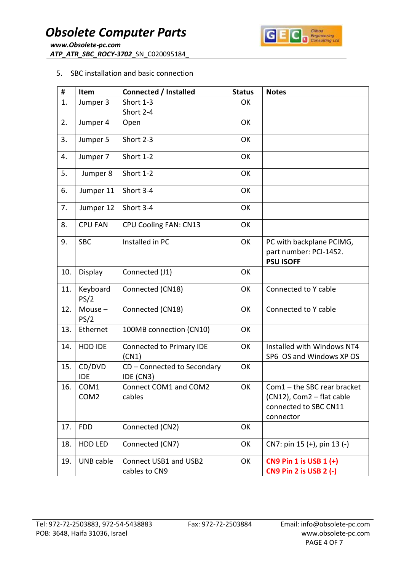

#### 5. SBC installation and basic connection

| #   | Item                                 | <b>Connected / Installed</b>             | <b>Status</b> | <b>Notes</b>                                                                                     |
|-----|--------------------------------------|------------------------------------------|---------------|--------------------------------------------------------------------------------------------------|
| 1.  | Jumper 3                             | Short 1-3                                | OK            |                                                                                                  |
|     |                                      | Short 2-4                                |               |                                                                                                  |
| 2.  | Jumper 4                             | Open                                     | OK            |                                                                                                  |
| 3.  | Jumper 5                             | Short 2-3                                | OK            |                                                                                                  |
| 4.  | Jumper 7                             | Short 1-2                                | OK            |                                                                                                  |
| 5.  | Jumper 8                             | Short 1-2                                | OK            |                                                                                                  |
| 6.  | Jumper 11                            | Short 3-4                                | OK            |                                                                                                  |
| 7.  | Jumper 12                            | Short 3-4                                | OK            |                                                                                                  |
| 8.  | <b>CPU FAN</b>                       | CPU Cooling FAN: CN13                    | OK            |                                                                                                  |
| 9.  | <b>SBC</b>                           | Installed in PC                          | OK            | PC with backplane PCIMG,<br>part number: PCI-14S2.<br><b>PSU ISOFF</b>                           |
| 10. | Display                              | Connected (J1)                           | OK            |                                                                                                  |
| 11. | Keyboard<br>PS/2                     | Connected (CN18)                         | OK            | Connected to Y cable                                                                             |
| 12. | Mouse $-$<br>PS/2                    | Connected (CN18)                         | OK            | Connected to Y cable                                                                             |
| 13. | Ethernet                             | 100MB connection (CN10)                  | OK            |                                                                                                  |
| 14. | HDD IDE                              | Connected to Primary IDE<br>(CN1)        | OK            | Installed with Windows NT4<br>SP6 OS and Windows XP OS                                           |
| 15. | CD/DVD<br><b>IDE</b>                 | CD - Connected to Secondary<br>IDE (CN3) | OK            |                                                                                                  |
| 16. | COM <sub>1</sub><br>COM <sub>2</sub> | Connect COM1 and COM2<br>cables          | OK            | $Com1$ – the SBC rear bracket<br>(CN12), Com2 - flat cable<br>connected to SBC CN11<br>connector |
| 17. | <b>FDD</b>                           | Connected (CN2)                          | OK            |                                                                                                  |
| 18. | HDD LED                              | Connected (CN7)                          | OK            | CN7: pin 15 (+), pin 13 (-)                                                                      |
| 19. | UNB cable                            | Connect USB1 and USB2<br>cables to CN9   | OK            | CN9 Pin 1 is USB 1 (+)<br><b>CN9 Pin 2 is USB 2 (-)</b>                                          |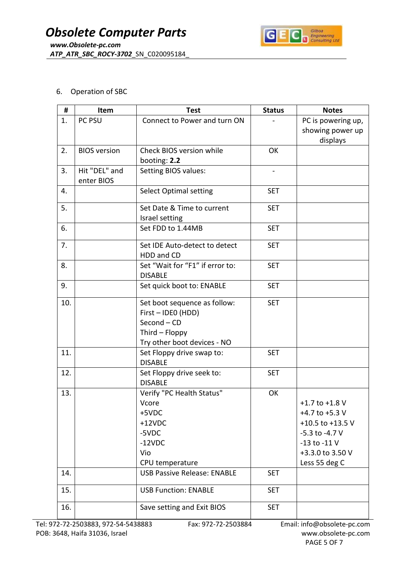

### 6. Operation of SBC

| #   | Item                        | <b>Test</b>                                                                                                        | <b>Status</b>                | <b>Notes</b>                                                                                                                              |
|-----|-----------------------------|--------------------------------------------------------------------------------------------------------------------|------------------------------|-------------------------------------------------------------------------------------------------------------------------------------------|
| 1.  | PC PSU                      | Connect to Power and turn ON                                                                                       |                              | PC is powering up,<br>showing power up<br>displays                                                                                        |
| 2.  | <b>BIOS</b> version         | Check BIOS version while<br>booting: 2.2                                                                           | OK                           |                                                                                                                                           |
| 3.  | Hit "DEL" and<br>enter BIOS | Setting BIOS values:                                                                                               | $\qquad \qquad \blacksquare$ |                                                                                                                                           |
| 4.  |                             | <b>Select Optimal setting</b>                                                                                      | <b>SET</b>                   |                                                                                                                                           |
| 5.  |                             | Set Date & Time to current<br>Israel setting                                                                       | <b>SET</b>                   |                                                                                                                                           |
| 6.  |                             | Set FDD to 1.44MB                                                                                                  | <b>SET</b>                   |                                                                                                                                           |
| 7.  |                             | Set IDE Auto-detect to detect<br>HDD and CD                                                                        | <b>SET</b>                   |                                                                                                                                           |
| 8.  |                             | Set "Wait for "F1" if error to:<br><b>DISABLE</b>                                                                  | <b>SET</b>                   |                                                                                                                                           |
| 9.  |                             | Set quick boot to: ENABLE                                                                                          | <b>SET</b>                   |                                                                                                                                           |
| 10. |                             | Set boot sequence as follow:<br>First - IDEO (HDD)<br>Second - CD<br>Third - Floppy<br>Try other boot devices - NO | <b>SET</b>                   |                                                                                                                                           |
| 11. |                             | Set Floppy drive swap to:<br><b>DISABLE</b>                                                                        | <b>SET</b>                   |                                                                                                                                           |
| 12. |                             | Set Floppy drive seek to:<br><b>DISABLE</b>                                                                        | <b>SET</b>                   |                                                                                                                                           |
| 13. |                             | Verify "PC Health Status"<br>Vcore<br>+5VDC<br>$+12VDC$<br>-5VDC<br>$-12VDC$<br>Vio<br>CPU temperature             | OK                           | $+1.7$ to $+1.8$ V<br>+4.7 to +5.3 $V$<br>+10.5 to +13.5 V<br>$-5.3$ to $-4.7$ V<br>$-13$ to $-11$ V<br>+3.3.0 to 3.50 V<br>Less 55 deg C |
| 14. |                             | <b>USB Passive Release: ENABLE</b>                                                                                 | <b>SET</b>                   |                                                                                                                                           |
| 15. |                             | <b>USB Function: ENABLE</b>                                                                                        | <b>SET</b>                   |                                                                                                                                           |
| 16. |                             | Save setting and Exit BIOS                                                                                         | <b>SET</b>                   |                                                                                                                                           |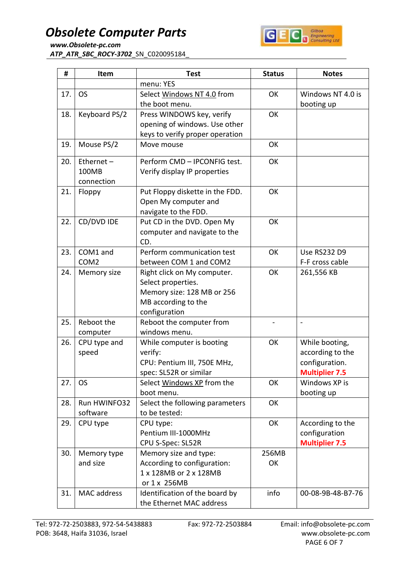## *Obsolete Computer Parts*



*www.Obsolete-pc.com ATP\_ATR\_SBC\_ROCY-3702*\_SN\_C020095184\_

| #   | Item             | <b>Test</b>                     | <b>Status</b> | <b>Notes</b>          |
|-----|------------------|---------------------------------|---------------|-----------------------|
|     |                  | menu: YES                       |               |                       |
| 17. | <b>OS</b>        | Select Windows NT 4.0 from      | OK            | Windows NT 4.0 is     |
|     |                  | the boot menu.                  |               | booting up            |
| 18. | Keyboard PS/2    | Press WINDOWS key, verify       | OK            |                       |
|     |                  | opening of windows. Use other   |               |                       |
|     |                  | keys to verify proper operation |               |                       |
| 19. | Mouse PS/2       | Move mouse                      | OK            |                       |
| 20. | Ethernet $-$     | Perform CMD - IPCONFIG test.    | OK            |                       |
|     | 100MB            | Verify display IP properties    |               |                       |
|     | connection       |                                 |               |                       |
| 21. | Floppy           | Put Floppy diskette in the FDD. | OK            |                       |
|     |                  | Open My computer and            |               |                       |
|     |                  | navigate to the FDD.            |               |                       |
| 22. | CD/DVD IDE       | Put CD in the DVD. Open My      | OK            |                       |
|     |                  | computer and navigate to the    |               |                       |
|     |                  | CD.                             |               |                       |
| 23. | COM1 and         | Perform communication test      | OK            | <b>Use RS232 D9</b>   |
|     | COM <sub>2</sub> | between COM 1 and COM2          |               | F-F cross cable       |
| 24. | Memory size      | Right click on My computer.     | OK            | 261,556 KB            |
|     |                  | Select properties.              |               |                       |
|     |                  | Memory size: 128 MB or 256      |               |                       |
|     |                  | MB according to the             |               |                       |
|     |                  | configuration                   |               |                       |
| 25. | Reboot the       | Reboot the computer from        |               |                       |
|     | computer         | windows menu.                   |               |                       |
| 26. | CPU type and     | While computer is booting       | OK            | While booting,        |
|     | speed            | verify:                         |               | according to the      |
|     |                  | CPU: Pentium III, 750E MHz,     |               | configuration.        |
|     |                  | spec: SL52R or similar          |               | <b>Multiplier 7.5</b> |
| 27. | <b>OS</b>        | Select Windows XP from the      | OK            | Windows XP is         |
|     |                  | boot menu.                      |               | booting up            |
| 28. | Run HWINFO32     | Select the following parameters | OK            |                       |
|     | software         | to be tested:                   |               |                       |
| 29. | CPU type         | CPU type:                       | OK            | According to the      |
|     |                  | Pentium III-1000MHz             |               | configuration         |
|     |                  | CPU S-Spec: SL52R               |               | <b>Multiplier 7.5</b> |
| 30. | Memory type      | Memory size and type:           | 256MB         |                       |
|     | and size         | According to configuration:     | OK            |                       |
|     |                  | 1 x 128MB or 2 x 128MB          |               |                       |
|     |                  | or 1 x 256MB                    |               |                       |
| 31. | MAC address      | Identification of the board by  | info          | 00-08-9B-48-B7-76     |
|     |                  | the Ethernet MAC address        |               |                       |